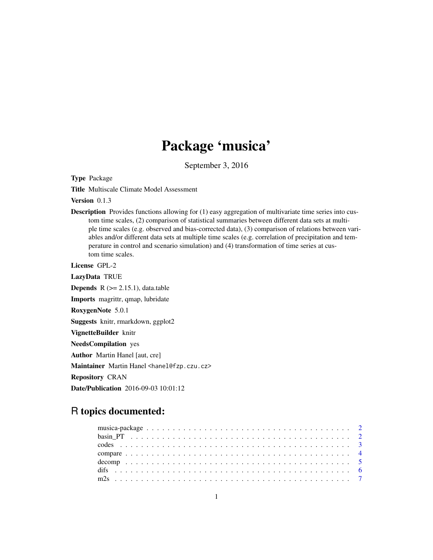## Package 'musica'

September 3, 2016

<span id="page-0-0"></span>Type Package

Title Multiscale Climate Model Assessment

Version 0.1.3

**Description** Provides functions allowing for (1) easy aggregation of multivariate time series into custom time scales, (2) comparison of statistical summaries between different data sets at multiple time scales (e.g. observed and bias-corrected data), (3) comparison of relations between variables and/or different data sets at multiple time scales (e.g. correlation of precipitation and temperature in control and scenario simulation) and (4) transformation of time series at custom time scales.

License GPL-2

LazyData TRUE **Depends**  $R$  ( $>= 2.15.1$ ), data.table Imports magrittr, qmap, lubridate RoxygenNote 5.0.1 Suggests knitr, rmarkdown, ggplot2 VignetteBuilder knitr NeedsCompilation yes Author Martin Hanel [aut, cre] Maintainer Martin Hanel <hanel@fzp.czu.cz> Repository CRAN Date/Publication 2016-09-03 10:01:12

## R topics documented: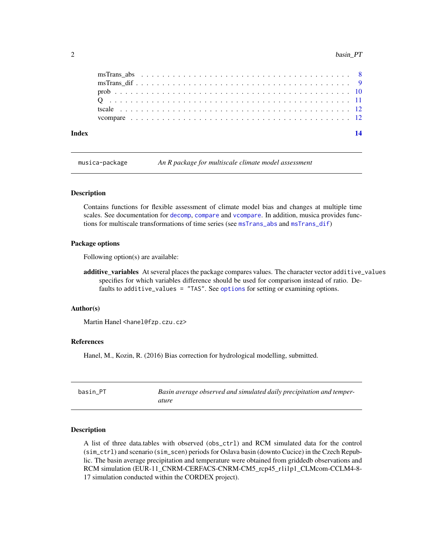<span id="page-1-0"></span>

| Index |  |  |  |  |  |  |  |  |  |  |  |  |  |  |  |  |  |  | 14 |
|-------|--|--|--|--|--|--|--|--|--|--|--|--|--|--|--|--|--|--|----|
|       |  |  |  |  |  |  |  |  |  |  |  |  |  |  |  |  |  |  |    |
|       |  |  |  |  |  |  |  |  |  |  |  |  |  |  |  |  |  |  |    |
|       |  |  |  |  |  |  |  |  |  |  |  |  |  |  |  |  |  |  |    |
|       |  |  |  |  |  |  |  |  |  |  |  |  |  |  |  |  |  |  |    |
|       |  |  |  |  |  |  |  |  |  |  |  |  |  |  |  |  |  |  |    |
|       |  |  |  |  |  |  |  |  |  |  |  |  |  |  |  |  |  |  |    |

musica-package *An R package for multiscale climate model assessment*

#### Description

Contains functions for flexible assessment of climate model bias and changes at multiple time scales. See documentation for [decomp](#page-4-1), [compare](#page-3-1) and [vcompare](#page-11-1). In addition, musica provides functions for multiscale transformations of time series (see [msTrans\\_abs](#page-7-1) and [msTrans\\_dif](#page-8-1))

#### Package options

Following option(s) are available:

additive\_variables At several places the package compares values. The character vector additive\_values specifies for which variables difference should be used for comparison instead of ratio. Defaults to additive\_values = "TAS". See [options](#page-0-0) for setting or examining options.

#### Author(s)

Martin Hanel <hanel@fzp.czu.cz>

### References

Hanel, M., Kozin, R. (2016) Bias correction for hydrological modelling, submitted.

| basin PT | Basin average observed and simulated daily precipitation and temper- |
|----------|----------------------------------------------------------------------|
|          | ature                                                                |

#### Description

A list of three data.tables with observed (obs\_ctrl) and RCM simulated data for the control (sim\_ctrl) and scenario (sim\_scen) periods for Oslava basin (downto Cucice) in the Czech Republic. The basin average precipitation and temperature were obtained from griddedb observations and RCM simulation (EUR-11\_CNRM-CERFACS-CNRM-CM5\_rcp45\_r1i1p1\_CLMcom-CCLM4-8- 17 simulation conducted within the CORDEX project).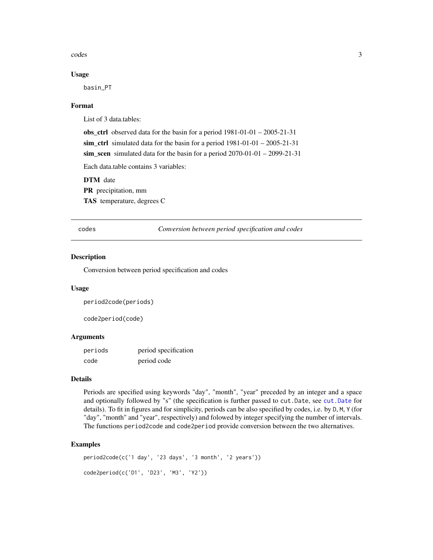<span id="page-2-0"></span>codes 3

#### Usage

basin\_PT

#### Format

List of 3 data.tables:

obs\_ctrl observed data for the basin for a period 1981-01-01 – 2005-21-31 sim\_ctrl simulated data for the basin for a period 1981-01-01 – 2005-21-31 sim\_scen simulated data for the basin for a period 2070-01-01 – 2099-21-31

Each data.table contains 3 variables:

DTM date

PR precipitation, mm

TAS temperature, degrees C

codes *Conversion between period specification and codes*

#### Description

Conversion between period specification and codes

#### Usage

```
period2code(periods)
```
code2period(code)

#### Arguments

| periods | period specification |
|---------|----------------------|
| code    | period code          |

#### Details

Periods are specified using keywords "day", "month", "year" preceded by an integer and a space and optionally followed by "s" (the specification is further passed to cut.Date, see [cut.Date](#page-0-0) for details). To fit in figures and for simplicity, periods can be also specified by codes, i.e. by D, M, Y (for "day", "month" and "year", respectively) and folowed by integer specifying the number of intervals. The functions period2code and code2period provide conversion between the two alternatives.

#### Examples

```
period2code(c('1 day', '23 days', '3 month', '2 years'))
code2period(c('D1', 'D23', 'M3', 'Y2'))
```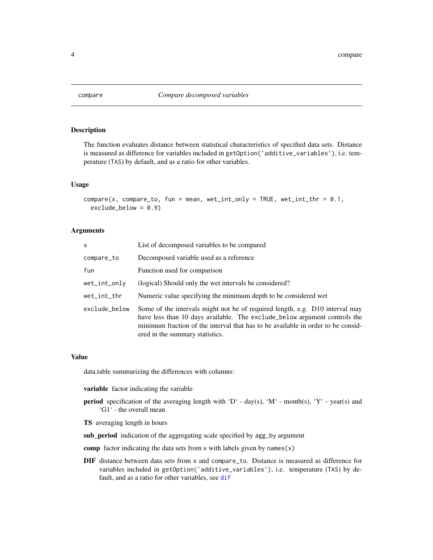<span id="page-3-1"></span><span id="page-3-0"></span>

#### Description

The function evaluates distance between statistical characteristics of specified data sets. Distance is measured as difference for variables included in getOption('additive\_variables'), i.e. temperature (TAS) by default, and as a ratio for other variables.

#### Usage

```
compare(x, compare_to, fun = mean, wet-int\_only = TRUE, wet-int_thr = 0.1,exclude_below = 0.9
```
#### Arguments

| x             | List of decomposed variables to be compared                                                                                                                                                                                                                                      |
|---------------|----------------------------------------------------------------------------------------------------------------------------------------------------------------------------------------------------------------------------------------------------------------------------------|
| compare_to    | Decomposed variable used as a reference                                                                                                                                                                                                                                          |
| fun           | Function used for comparison                                                                                                                                                                                                                                                     |
| wet_int_only  | (logical) Should only the wet intervals be considered?                                                                                                                                                                                                                           |
| wet_int_thr   | Numeric value specifying the minimum depth to be considered wet                                                                                                                                                                                                                  |
| exclude_below | Some of the intervals might not be of required length, e.g. D10 interval may<br>have less than 10 days available. The exclude_below argument controls the<br>minimum fraction of the interval that has to be available in order to be consid-<br>ered in the summary statistics. |

#### Value

data.table summarizing the differences with columns:

variable factor indicating the variable

- **period** specification of the averaging length with 'D' day(s), 'M' month(s), 'Y' year(s) and 'G1' - the overall mean
- TS averaging length in hours
- sub\_period indication of the aggregating scale specified by agg\_by argument

comp factor indicating the data sets from x with labels given by names $(x)$ 

DIF distance between data sets from x and compare\_to. Distance is measured as difference for variables included in getOption('additive\_variables'), i.e. temperature (TAS) by default, and as a ratio for other variables, see [dif](#page-5-1)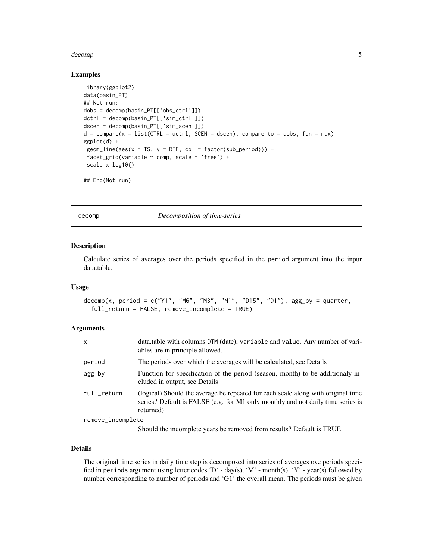#### <span id="page-4-0"></span>decomp 5 and 3 and 3 and 3 and 3 and 3 and 3 and 3 and 3 and 3 and 3 and 3 and 3 and 3 and 3 and 3 and 3 and 3 and 3 and 3 and 3 and 3 and 3 and 3 and 3 and 3 and 3 and 3 and 3 and 3 and 3 and 3 and 3 and 3 and 3 and 3 and

#### Examples

```
library(ggplot2)
data(basin_PT)
## Not run:
dobs = decomp(basin_PT[['obs_ctrl']])
dctrl = decomp(basin_PT[['sim_ctrl']])
dscen = decomp(basin_PT[['sim_scen']])
d = \text{compare}(x = list(CTRL = dctr], SCEN = dseen), compare_to = dobs, fun = max)ggplot(d) +
 geom_line(aes(x = TS, y = DIFF, col = factor(sub_period))) +
 facet_grid(variable ~ comp, scale = 'free') +
 scale_x_log10()
```
## End(Not run)

decomp *Decomposition of time-series*

#### Description

Calculate series of averages over the periods specified in the period argument into the inpur data.table.

#### Usage

```
decomp(x, period = c("Y1", "M6", "M3", "M1", "D15", "D1"), agg_by = quarter,
  full_return = FALSE, remove_incomplete = TRUE)
```
#### Arguments

| $\mathsf{x}$      | data.table with columns DTM (date), variable and value. Any number of vari-<br>ables are in principle allowed.                                                                   |
|-------------------|----------------------------------------------------------------------------------------------------------------------------------------------------------------------------------|
| period            | The periods over which the averages will be calculated, see Details                                                                                                              |
| agg_by            | Function for specification of the period (season, month) to be additionaly in-<br>cluded in output, see Details                                                                  |
| full_return       | (logical) Should the average be repeated for each scale along with original time<br>series? Default is FALSE (e.g. for M1 only monthly and not daily time series is<br>returned) |
| remove_incomplete |                                                                                                                                                                                  |
|                   |                                                                                                                                                                                  |

Should the incomplete years be removed from results? Default is TRUE

#### Details

The original time series in daily time step is decomposed into series of averages ove periods specified in periods argument using letter codes 'D' - day(s), 'M' - month(s), 'Y' - year(s) followed by number corresponding to number of periods and 'G1' the overall mean. The periods must be given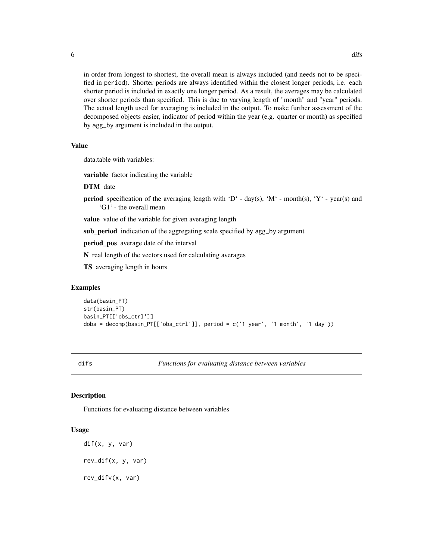in order from longest to shortest, the overall mean is always included (and needs not to be specified in period). Shorter periods are always identified within the closest longer periods, i.e. each

shorter period is included in exactly one longer period. As a result, the averages may be calculated over shorter periods than specified. This is due to varying length of "month" and "year" periods. The actual length used for averaging is included in the output. To make further assessment of the decomposed objects easier, indicator of period within the year (e.g. quarter or month) as specified by agg\_by argument is included in the output.

#### Value

data.table with variables:

variable factor indicating the variable

#### DTM date

**period** specification of the averaging length with 'D' - day(s), 'M' - month(s), 'Y' - year(s) and 'G1' - the overall mean

value value of the variable for given averaging length

sub\_period indication of the aggregating scale specified by agg\_by argument

period\_pos average date of the interval

N real length of the vectors used for calculating averages

TS averaging length in hours

#### Examples

```
data(basin_PT)
str(basin_PT)
basin_PT[['obs_ctrl']]
dobs = decomp(basin_PT[['obs_ctrl']], period = c('1 year', '1 month', '1 day'))
```
difs *Functions for evaluating distance between variables*

#### <span id="page-5-1"></span>**Description**

Functions for evaluating distance between variables

#### Usage

dif(x, y, var) rev\_dif(x, y, var) rev\_difv(x, var)

<span id="page-5-0"></span>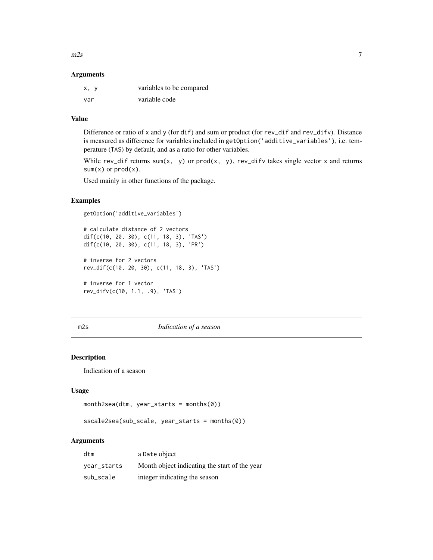<span id="page-6-0"></span> $m2s$  7

#### Arguments

| x, y | variables to be compared |
|------|--------------------------|
| var  | variable code            |

#### Value

Difference or ratio of x and y (for dif) and sum or product (for rev\_dif and rev\_difv). Distance is measured as difference for variables included in getOption('additive\_variables'), i.e. temperature (TAS) by default, and as a ratio for other variables.

While rev\_dif returns sum(x, y) or prod(x, y), rev\_difv takes single vector x and returns  $sum(x)$  or  $prod(x)$ .

Used mainly in other functions of the package.

#### Examples

```
getOption('additive_variables')
```

```
# calculate distance of 2 vectors
dif(c(10, 20, 30), c(11, 18, 3), 'TAS')
dif(c(10, 20, 30), c(11, 18, 3), 'PR')
# inverse for 2 vectors
rev_dif(c(10, 20, 30), c(11, 18, 3), 'TAS')
# inverse for 1 vector
rev_difv(c(10, 1.1, .9), 'TAS')
```
## m2s *Indication of a season*

## Description

Indication of a season

#### Usage

```
month2sea(dtm, year_starts = months(0))
```
sscale2sea(sub\_scale, year\_starts = months(0))

## **Arguments**

| dtm         | a Date object                                 |
|-------------|-----------------------------------------------|
| year_starts | Month object indicating the start of the year |
| sub_scale   | integer indicating the season                 |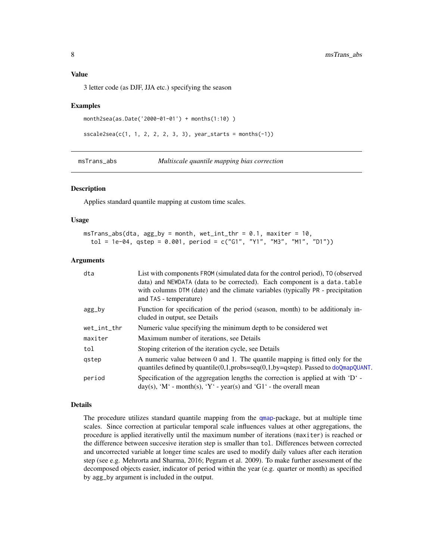#### <span id="page-7-0"></span>Value

3 letter code (as DJF, JJA etc.) specifying the season

## Examples

```
month2sea(as.Date('2000-01-01') + months(1:10) )
```

```
sscale2sea(c(1, 1, 2, 2, 2, 3, 3), year_{starts} = months(-1))
```
<span id="page-7-1"></span>msTrans\_abs *Multiscale quantile mapping bias correction*

#### Description

Applies standard quantile mapping at custom time scales.

#### Usage

 $msTrans\_abs(dta, agg_by = month, wet_info_thr = 0.1, maxiter = 10,$  $tol = 1e-04$ ,  $qstep = 0.001$ ,  $period = c("G1", "Y1", "M3", "M1", "D1")$ 

#### Arguments

| dta             | List with components FROM (simulated data for the control period), TO (observed<br>data) and NEWDATA (data to be corrected). Each component is a data.table<br>with columns DTM (date) and the climate variables (typically PR - precipitation<br>and TAS - temperature) |
|-----------------|--------------------------------------------------------------------------------------------------------------------------------------------------------------------------------------------------------------------------------------------------------------------------|
| agg_by          | Function for specification of the period (season, month) to be additionaly in-<br>cluded in output, see Details                                                                                                                                                          |
| $wet\_int\_thr$ | Numeric value specifying the minimum depth to be considered wet                                                                                                                                                                                                          |
| maxiter         | Maximum number of iterations, see Details                                                                                                                                                                                                                                |
| tol             | Stoping criterion of the iteration cycle, see Details                                                                                                                                                                                                                    |
| gstep           | A numeric value between 0 and 1. The quantile mapping is fitted only for the<br>quantiles defined by quantile(0,1,probs=seq(0,1,by=qstep). Passed to doQmapQUANT.                                                                                                        |
| period          | Specification of the aggregation lengths the correction is applied at with $D^{\prime}$ -<br>$day(s)$ , 'M' - month(s), 'Y' - year(s) and 'G1' - the overall mean                                                                                                        |

#### Details

The procedure utilizes standard quantile mapping from the [qmap](#page-0-0)-package, but at multiple time scales. Since correction at particular temporal scale influences values at other aggregations, the procedure is applied iterativelly until the maximum number of iterations (maxiter) is reached or the difference between succesive iteration step is smaller than tol. Differences between corrected and uncorrected variable at longer time scales are used to modify daily values after each iteration step (see e.g. Mehrorta and Sharma, 2016; Pegram et al. 2009). To make further assessment of the decomposed objects easier, indicator of period within the year (e.g. quarter or month) as specified by agg\_by argument is included in the output.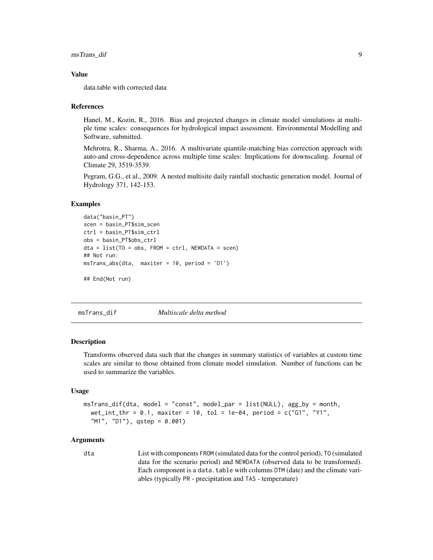#### <span id="page-8-0"></span>Value

data.table with corrected data

#### References

Hanel, M., Kozin, R., 2016. Bias and projected changes in climate model simulations at multiple time scales: consequences for hydrological impact assessment. Environmental Modelling and Software, submitted.

Mehrotra, R., Sharma, A., 2016. A multivariate quantile-matching bias correction approach with auto-and cross-dependence across multiple time scales: Implications for downscaling. Journal of Climate 29, 3519-3539.

Pegram, G.G., et al., 2009. A nested multisite daily rainfall stochastic generation model. Journal of Hydrology 371, 142-153.

#### Examples

```
data("basin_PT")
scen = basin_PT$sim_scen
ctrl = basin_PT$sim_ctrl
obs = basin_PT$obs_ctrl
dta = list(TO = obs, FROM = ctr1, NEWDATA = scen)## Not run:
msTrans_abs(dta, maxiter = 10, period = 'D1')
```
## End(Not run)

<span id="page-8-1"></span>msTrans\_dif *Multiscale delta method*

#### Description

Transforms observed data such that the changes in summary statistics of variables at custom time scales are similar to those obtained from climate model simulation. Number of functions can be used to summarize the variables.

#### Usage

```
msTrans_dif(dta, model = "const", model_par = list(NULL), agg_by = month,
 wet_int_thr = 0.1, maxiter = 10, tol = 1e-04, period = c("G1", "Y1",'M1", "D1", qstep = 0.001)
```
#### Arguments

dta List with components FROM (simulated data for the control period), TO (simulated data for the scenario period) and NEWDATA (observed data to be transformed). Each component is a data.table with columns DTM (date) and the climate variables (typically PR - precipitation and TAS - temperature)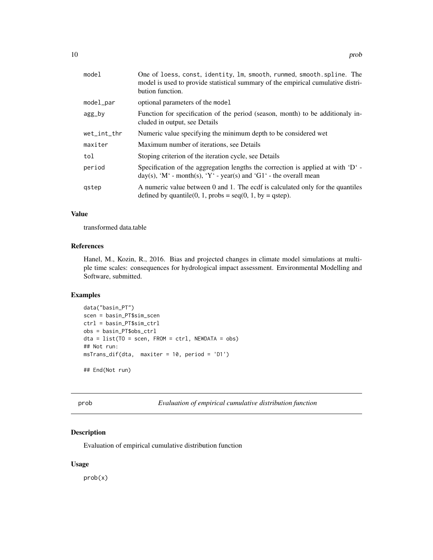<span id="page-9-0"></span>

| One of loess, const, identity, 1m, smooth, runmed, smooth.spline. The<br>model is used to provide statistical summary of the empirical cumulative distri-<br>bution function. |
|-------------------------------------------------------------------------------------------------------------------------------------------------------------------------------|
| optional parameters of the model                                                                                                                                              |
| Function for specification of the period (season, month) to be additionaly in-<br>cluded in output, see Details                                                               |
| Numeric value specifying the minimum depth to be considered wet                                                                                                               |
| Maximum number of iterations, see Details                                                                                                                                     |
| Stoping criterion of the iteration cycle, see Details                                                                                                                         |
| Specification of the aggregation lengths the correction is applied at with $D^{\prime}$ -<br>day(s), 'M' - month(s), 'Y' - year(s) and 'G1' - the overall mean                |
| A numeric value between 0 and 1. The ecdf is calculated only for the quantiles<br>defined by quantile(0, 1, probs = $seq(0, 1, by = qstep)$ ).                                |
|                                                                                                                                                                               |

## Value

transformed data.table

#### References

Hanel, M., Kozin, R., 2016. Bias and projected changes in climate model simulations at multiple time scales: consequences for hydrological impact assessment. Environmental Modelling and Software, submitted.

## Examples

```
data("basin_PT")
scen = basin_PT$sim_scen
ctrl = basin_PT$sim_ctrl
obs = basin_PT$obs_ctrl
dta = list(TO = scen, FROM = ctrl, NEWDATA = obs)
## Not run:
msTrans_dif(dta, maxiter = 10, period = 'D1')
## End(Not run)
```
prob *Evaluation of empirical cumulative distribution function*

## Description

Evaluation of empirical cumulative distribution function

#### Usage

prob(x)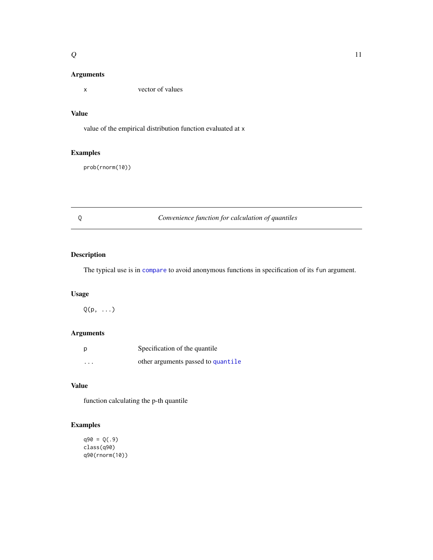#### <span id="page-10-0"></span>Arguments

x vector of values

## Value

value of the empirical distribution function evaluated at x

#### Examples

prob(rnorm(10))

## Q *Convenience function for calculation of quantiles*

## Description

The typical use is in [compare](#page-3-1) to avoid anonymous functions in specification of its fun argument.

#### Usage

 $Q(p, \ldots)$ 

## Arguments

| p        | Specification of the quantile      |
|----------|------------------------------------|
| $\cdots$ | other arguments passed to quantile |

## Value

function calculating the p-th quantile

## Examples

```
q90 = Q(.9)
class(q90)
q90(rnorm(10))
```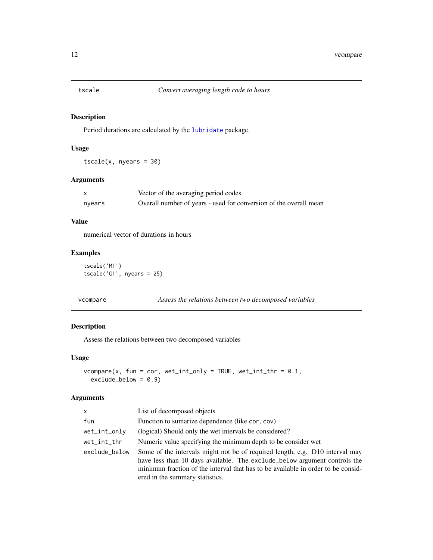<span id="page-11-0"></span>

## Description

Period durations are calculated by the [lubridate](#page-0-0) package.

## Usage

 $tscale(x, nyears = 30)$ 

#### Arguments

|        | Vector of the averaging period codes                              |
|--------|-------------------------------------------------------------------|
| nyears | Overall number of years - used for conversion of the overall mean |

## Value

numerical vector of durations in hours

## Examples

tscale('M1') tscale('G1', nyears = 25)

<span id="page-11-1"></span>vcompare *Assess the relations between two decomposed variables*

## Description

Assess the relations between two decomposed variables

#### Usage

```
vcompare(x, fun = cor, wet-int-only = TRUE, wet-int_thr = 0.1,exclude_below = 0.9)
```
#### Arguments

| $\times$      | List of decomposed objects                                                                                                                                                                                                                                                       |
|---------------|----------------------------------------------------------------------------------------------------------------------------------------------------------------------------------------------------------------------------------------------------------------------------------|
| fun           | Function to sumarize dependence (like cor, cov)                                                                                                                                                                                                                                  |
| wet_int_only  | (logical) Should only the wet intervals be considered?                                                                                                                                                                                                                           |
| wet_int_thr   | Numeric value specifying the minimum depth to be consider wet                                                                                                                                                                                                                    |
| exclude_below | Some of the intervals might not be of required length, e.g. D10 interval may<br>have less than 10 days available. The exclude_below argument controls the<br>minimum fraction of the interval that has to be available in order to be consid-<br>ered in the summary statistics. |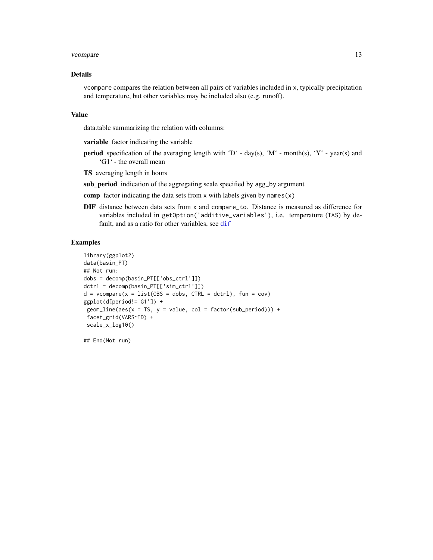#### <span id="page-12-0"></span>vcompare the contract of the contract of the contract of the contract of the contract of the contract of the contract of the contract of the contract of the contract of the contract of the contract of the contract of the c

#### Details

vcompare compares the relation between all pairs of variables included in x, typically precipitation and temperature, but other variables may be included also (e.g. runoff).

#### Value

data.table summarizing the relation with columns:

variable factor indicating the variable

- **period** specification of the averaging length with 'D' day(s), 'M' month(s), 'Y' year(s) and 'G1' - the overall mean
- TS averaging length in hours
- sub\_period indication of the aggregating scale specified by agg\_by argument
- comp factor indicating the data sets from x with labels given by names $(x)$
- DIF distance between data sets from x and compare\_to. Distance is measured as difference for variables included in getOption('additive\_variables'), i.e. temperature (TAS) by default, and as a ratio for other variables, see [dif](#page-5-1)

#### Examples

```
library(ggplot2)
data(basin_PT)
## Not run:
dobs = decomp(basin_PT[['obs_ctrl']])
dctrl = decomp(basin_PT[['sim_ctrl']])
d = vcompare(x = list(OBS = dobs, CTRL = dctr), fun = cov)ggplot(d[period!='G1']) +
 geom\_line(aes(x = TS, y = value, col = factor(sub\_period))) +facet_grid(VARS~ID) +
 scale_x_log10()
```
## End(Not run)